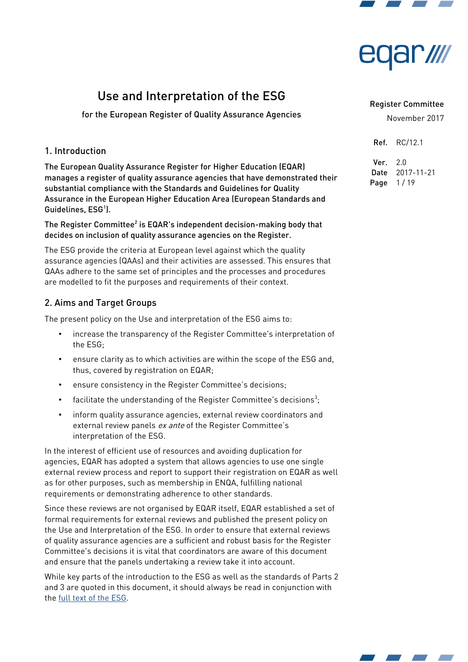



# Use and Interpretation of the ESG

for the European Register of Quality Assurance Agencies

# 1. Introduction

The European Quality Assurance Register for Higher Education (EQAR) manages a register of quality assurance agencies that have demonstrated their substantial compliance with the Standards and Guidelines for Quality Assurance in the European Higher Education Area (European Standards and Guidelines, ESG<sup>1</sup>).

The Register Committee $^2$  is EQAR's independent decision-making body that decides on inclusion of quality assurance agencies on the Register.

The ESG provide the criteria at European level against which the quality assurance agencies (QAAs) and their activities are assessed. This ensures that QAAs adhere to the same set of principles and the processes and procedures are modelled to fit the purposes and requirements of their context.

# 2. Aims and Target Groups

The present policy on the Use and interpretation of the ESG aims to:

- increase the transparency of the Register Committee's interpretation of the ESG;
- ensure clarity as to which activities are within the scope of the ESG and, thus, covered by registration on EQAR;
- ensure consistency in the Register Committee's decisions;
- facilitate the understanding of the Register Committee's decisions $^3;$
- inform quality assurance agencies, external review coordinators and external review panels ex ante of the Register Committee's interpretation of the ESG.

In the interest of efficient use of resources and avoiding duplication for agencies, EQAR has adopted a system that allows agencies to use one single external review process and report to support their registration on EQAR as well as for other purposes, such as membership in ENQA, fulflling national requirements or demonstrating adherence to other standards.

Since these reviews are not organised by EQAR itself, EQAR established a set of formal requirements for external reviews and published the present policy on the Use and Interpretation of the ESG. In order to ensure that external reviews of quality assurance agencies are a suffcient and robust basis for the Register Committee's decisions it is vital that coordinators are aware of this document and ensure that the panels undertaking a review take it into account.

While key parts of the introduction to the ESG as well as the standards of Parts 2 and 3 are quoted in this document, it should always be read in conjunction with the [full text of the ESG.](https://eqar.eu/fileadmin/documents/e4/ESG_endorsedMay2015.pdf)

#### Register Committee

November 2017

Ref. RC/12.1

Ver. 2.0 Date 2017-11-21 Page  $1/19$ 

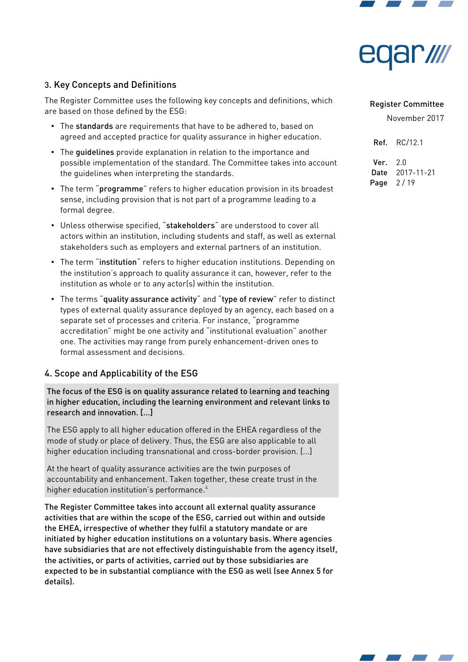



# 3. Key Concepts and Defnitions

The Register Committee uses the following key concepts and definitions, which are based on those defned by the ESG:

- The standards are requirements that have to be adhered to, based on agreed and accepted practice for quality assurance in higher education.
- The guidelines provide explanation in relation to the importance and possible implementation of the standard. The Committee takes into account the guidelines when interpreting the standards.
- The term "programme" refers to higher education provision in its broadest sense, including provision that is not part of a programme leading to a formal degree.
- Unless otherwise specified, "stakeholders" are understood to cover all actors within an institution, including students and staff, as well as external stakeholders such as employers and external partners of an institution.
- The term "institution" refers to higher education institutions. Depending on the institution's approach to quality assurance it can, however, refer to the institution as whole or to any actor(s) within the institution.
- The terms "quality assurance activity" and "type of review" refer to distinct types of external quality assurance deployed by an agency, each based on a separate set of processes and criteria. For instance, "programme accreditation" might be one activity and "institutional evaluation" another one. The activities may range from purely enhancement-driven ones to formal assessment and decisions.

## 4. Scope and Applicability of the ESG

The focus of the ESG is on quality assurance related to learning and teaching in higher education, including the learning environment and relevant links to research and innovation. [...]

The ESG apply to all higher education offered in the EHEA regardless of the mode of study or place of delivery. Thus, the ESG are also applicable to all higher education including transnational and cross-border provision. [...]

At the heart of quality assurance activities are the twin purposes of accountability and enhancement. Taken together, these create trust in the higher education institution's performance.<sup>4</sup>

The Register Committee takes into account all external quality assurance activities that are within the scope of the ESG, carried out within and outside the EHEA, irrespective of whether they fulfil a statutory mandate or are initiated by higher education institutions on a voluntary basis. Where agencies have subsidiaries that are not effectively distinguishable from the agency itself, the activities, or parts of activities, carried out by those subsidiaries are expected to be in substantial compliance with the ESG as well (see Annex 5 for details).

#### Register Committee

November 2017

Ref. RC/12.1 Ver. 2.0 Date 2017-11-21 Page 2/19

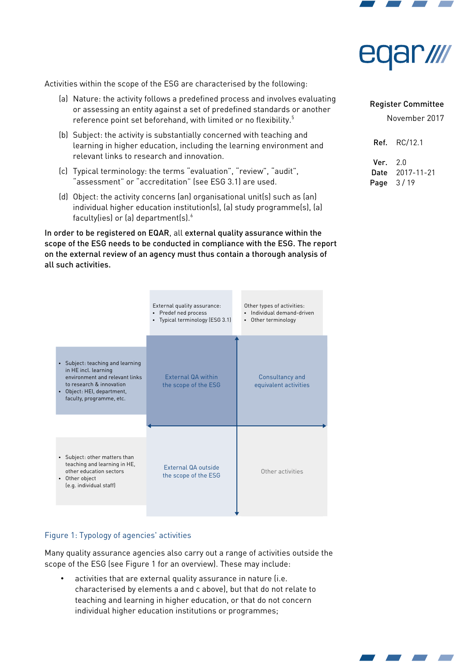



Activities within the scope of the ESG are characterised by the following:

- (a) Nature: the activity follows a predefned process and involves evaluating or assessing an entity against a set of predefned standards or another reference point set beforehand, with limited or no flexibility.<sup>5</sup>
- (b) Subject: the activity is substantially concerned with teaching and learning in higher education, including the learning environment and relevant links to research and innovation.
- (c) Typical terminology: the terms "evaluation", "review", "audit", "assessment" or "accreditation" (see ESG 3.1) are used.
- (d) Object: the activity concerns (an) organisational unit(s) such as (an) individual higher education institution(s), (a) study programme(s), (a) faculty(ies) or (a) department(s). $\delta$

In order to be registered on EQAR, all external quality assurance within the scope of the ESG needs to be conducted in compliance with the ESG. The report on the external review of an agency must thus contain a thorough analysis of all such activities.



#### <span id="page-2-0"></span>Figure 1: Typology of agencies' activities

Many quality assurance agencies also carry out a range of activities outside the scope of the ESG (see [Figure 1](#page-2-0) for an overview). These may include:

activities that are external quality assurance in nature (i.e. characterised by elements a and c above), but that do not relate to teaching and learning in higher education, or that do not concern individual higher education institutions or programmes;

#### Register Committee

| Ref. . | RC/12.1    |
|--------|------------|
| Ver.   | 2.0        |
| Date   | 2017-11-21 |
| Page   | 3 / 19     |

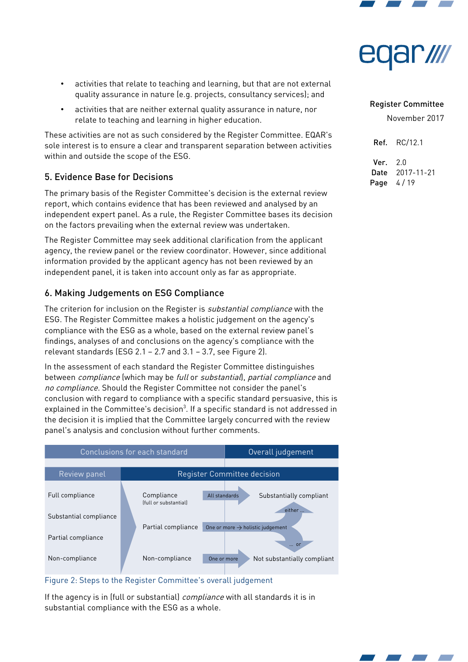

- ar*ıllı*
- activities that relate to teaching and learning, but that are not external quality assurance in nature (e.g. projects, consultancy services); and
- activities that are neither external quality assurance in nature, nor relate to teaching and learning in higher education.

These activities are not as such considered by the Register Committee. EQAR's sole interest is to ensure a clear and transparent separation between activities within and outside the scope of the ESG.

# 5. Evidence Base for Decisions

The primary basis of the Register Committee's decision is the external review report, which contains evidence that has been reviewed and analysed by an independent expert panel. As a rule, the Register Committee bases its decision on the factors prevailing when the external review was undertaken.

The Register Committee may seek additional clarifcation from the applicant agency, the review panel or the review coordinator. However, since additional information provided by the applicant agency has not been reviewed by an independent panel, it is taken into account only as far as appropriate.

# 6. Making Judgements on ESG Compliance

The criterion for inclusion on the Register is *substantial compliance* with the ESG. The Register Committee makes a holistic judgement on the agency's compliance with the ESG as a whole, based on the external review panel's fndings, analyses of and conclusions on the agency's compliance with the relevant standards (ESG 2.1 – 2.7 and 3.1 – 3.7, see [Figure 2\)](#page-3-0).

In the assessment of each standard the Register Committee distinguishes between *compliance* (which may be full or substantial), partial compliance and no compliance. Should the Register Committee not consider the panel's conclusion with regard to compliance with a specific standard persuasive, this is explained in the Committee's decision $^3$  $^3$ . If a specific standard is not addressed in the decision it is implied that the Committee largely concurred with the review panel's analysis and conclusion without further comments.



## <span id="page-3-0"></span>Figure 2: Steps to the Register Committee's overall judgement

If the agency is in (full or substantial) *compliance* with all standards it is in substantial compliance with the ESG as a whole.

# Register Committee

November 2017

Ref. RC/12.1 Ver. 2.0 Date 2017-11-21 Page 4/19

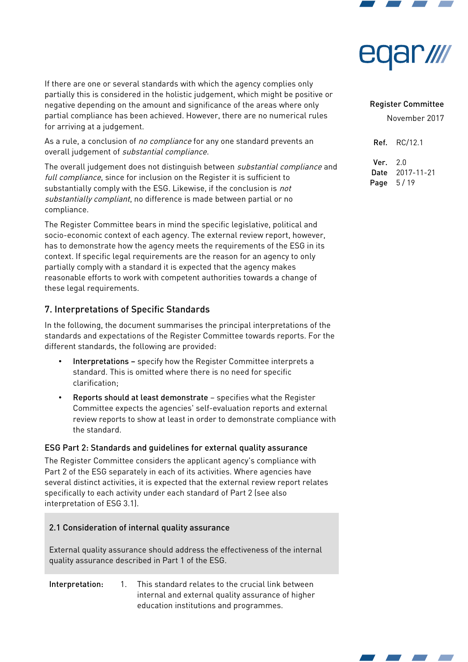



If there are one or several standards with which the agency complies only partially this is considered in the holistic judgement, which might be positive or negative depending on the amount and signifcance of the areas where only partial compliance has been achieved. However, there are no numerical rules for arriving at a judgement.

As a rule, a conclusion of no compliance for any one standard prevents an overall judgement of substantial compliance.

The overall judgement does not distinguish between substantial compliance and full compliance, since for inclusion on the Register it is sufficient to substantially comply with the ESG. Likewise, if the conclusion is not substantially compliant, no difference is made between partial or no compliance.

The Register Committee bears in mind the specific legislative, political and socio-economic context of each agency. The external review report, however, has to demonstrate how the agency meets the requirements of the ESG in its context. If specific legal requirements are the reason for an agency to only partially comply with a standard it is expected that the agency makes reasonable efforts to work with competent authorities towards a change of these legal requirements.

# 7. Interpretations of Specific Standards

In the following, the document summarises the principal interpretations of the standards and expectations of the Register Committee towards reports. For the different standards, the following are provided:

- Interpretations specify how the Register Committee interprets a standard. This is omitted where there is no need for specifc clarification;
- Reports should at least demonstrate specifies what the Register Committee expects the agencies' self-evaluation reports and external review reports to show at least in order to demonstrate compliance with the standard.

#### ESG Part 2: Standards and guidelines for external quality assurance

The Register Committee considers the applicant agency's compliance with Part 2 of the ESG separately in each of its activities. Where agencies have several distinct activities, it is expected that the external review report relates specifically to each activity under each standard of Part 2 (see also interpretation of ESG 3.1).

## 2.1 Consideration of internal quality assurance

External quality assurance should address the effectiveness of the internal quality assurance described in Part 1 of the ESG.

#### Interpretation: 1. This standard relates to the crucial link between internal and external quality assurance of higher education institutions and programmes.

#### Register Committee

November 2017

Ref. RC/12.1

Ver. 2.0 Date 2017-11-21 Page 5/19

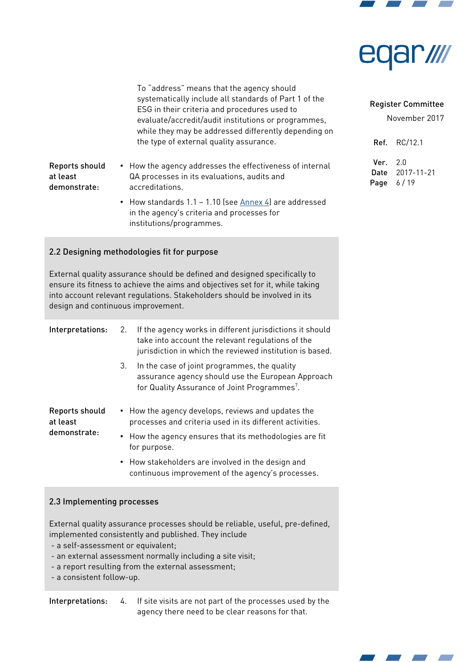



| To "address" means that the agency should             |
|-------------------------------------------------------|
| systematically include all standards of Part 1 of the |
| ESG in their criteria and procedures used to          |
| evaluate/accredit/audit institutions or programmes,   |
| while they may be addressed differently depending on  |
| the type of external quality assurance.               |

- Reports should demonstrate: • How the agency addresses the effectiveness of internal QA processes in its evaluations, audits and accreditations.
	- How standards 1.1 1.10 (see [Annex 4\)](#page-15-0) are addressed in the agency's criteria and processes for institutions/programmes.

## 2.2 Designing methodologies fit for purpose

at least

External quality assurance should be defned and designed specifcally to ensure its fitness to achieve the aims and objectives set for it, while taking into account relevant regulations. Stakeholders should be involved in its design and continuous improvement.

| Interpretations:                           | 2. | If the agency works in different jurisdictions it should<br>take into account the relevant regulations of the<br>jurisdiction in which the reviewed institution is based. |
|--------------------------------------------|----|---------------------------------------------------------------------------------------------------------------------------------------------------------------------------|
|                                            | 3. | In the case of joint programmes, the quality<br>assurance agency should use the European Approach<br>for Quality Assurance of Joint Programmes <sup>7</sup> .             |
| Reports should<br>at least<br>demonstrate: |    | • How the agency develops, reviews and updates the<br>processes and criteria used in its different activities.                                                            |
|                                            |    | • How the agency ensures that its methodologies are fit<br>for purpose.                                                                                                   |
|                                            |    | • How stakeholders are involved in the design and<br>continuous improvement of the agency's processes.                                                                    |

#### 2.3 Implementing processes

External quality assurance processes should be reliable, useful, pre-defned, implemented consistently and published. They include

- a self-assessment or equivalent;
- an external assessment normally including a site visit;
- a report resulting from the external assessment;
- a consistent follow-up.

Interpretations: 4. If site visits are not part of the processes used by the agency there need to be clear reasons for that.

#### Register Committee

November 2017

Ref. RC/12.1 Ver. 2.0 Date 2017-11-21 Page 6/19

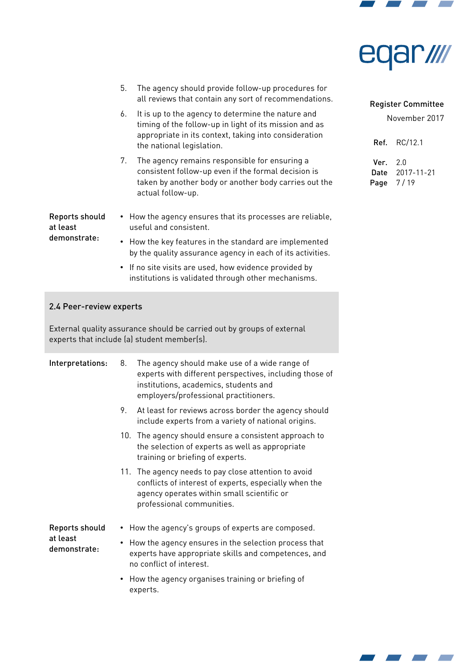



- 5. The agency should provide follow-up procedures for all reviews that contain any sort of recommendations.
- 6. It is up to the agency to determine the nature and timing of the follow-up in light of its mission and as appropriate in its context, taking into consideration the national legislation.
- 7. The agency remains responsible for ensuring a consistent follow-up even if the formal decision is taken by another body or another body carries out the actual follow-up.

Reports should at least demonstrate:

- How the agency ensures that its processes are reliable, useful and consistent.
	- How the key features in the standard are implemented by the quality assurance agency in each of its activities.
	- If no site visits are used, how evidence provided by institutions is validated through other mechanisms.

#### 2.4 Peer-review experts

External quality assurance should be carried out by groups of external experts that include (a) student member(s).

| Interpretations:                           | 8. | The agency should make use of a wide range of<br>experts with different perspectives, including those of<br>institutions, academics, students and<br>employers/professional practitioners. |
|--------------------------------------------|----|--------------------------------------------------------------------------------------------------------------------------------------------------------------------------------------------|
|                                            | 9. | At least for reviews across border the agency should<br>include experts from a variety of national origins.                                                                                |
|                                            |    | 10. The agency should ensure a consistent approach to<br>the selection of experts as well as appropriate<br>training or briefing of experts.                                               |
|                                            |    | 11. The agency needs to pay close attention to avoid<br>conflicts of interest of experts, especially when the<br>agency operates within small scientific or<br>professional communities.   |
| Reports should<br>at least<br>demonstrate: |    | • How the agency's groups of experts are composed.                                                                                                                                         |
|                                            |    | How the agency ensures in the selection process that<br>experts have appropriate skills and competences, and<br>no conflict of interest.                                                   |
|                                            |    | • How the agency organises training or briefing of<br>experts.                                                                                                                             |

#### Register Committee

| Ref. . | RC/12.1    |
|--------|------------|
| Ver.   | 2.0        |
| Date   | 2017-11-21 |
| Page   | 7/19       |

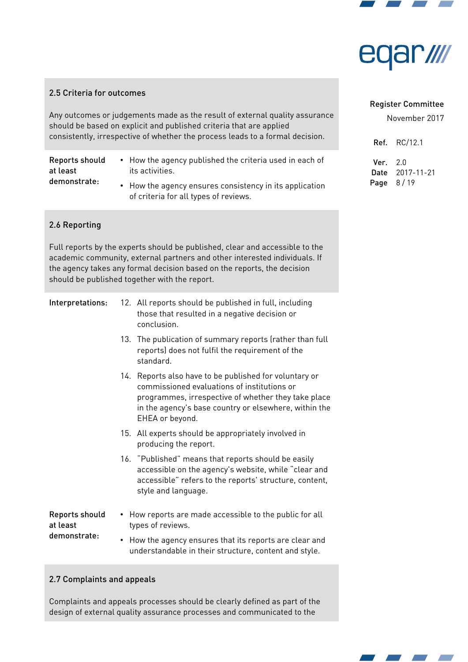

# ar *III*

#### 2.5 Criteria for outcomes

Any outcomes or judgements made as the result of external quality assurance should be based on explicit and published criteria that are applied consistently, irrespective of whether the process leads to a formal decision.

Reports should at least demonstrate:

- How the agency published the criteria used in each of its activities.
- How the agency ensures consistency in its application of criteria for all types of reviews.

#### 2.6 Reporting

Full reports by the experts should be published, clear and accessible to the academic community, external partners and other interested individuals. If the agency takes any formal decision based on the reports, the decision should be published together with the report.

- Interpretations: 12. All reports should be published in full, including those that resulted in a negative decision or conclusion.
	- 13. The publication of summary reports (rather than full reports) does not fulfil the requirement of the standard.
	- 14. Reports also have to be published for voluntary or commissioned evaluations of institutions or programmes, irrespective of whether they take place in the agency's base country or elsewhere, within the EHEA or beyond.
	- 15. All experts should be appropriately involved in producing the report.
	- 16. "Published" means that reports should be easily accessible on the agency's website, while "clear and accessible" refers to the reports' structure, content, style and language.

Reports should at least demonstrate: • How reports are made accessible to the public for all types of reviews. • How the agency ensures that its reports are clear and understandable in their structure, content and style.

#### 2.7 Complaints and appeals

Complaints and appeals processes should be clearly defned as part of the design of external quality assurance processes and communicated to the

#### Register Committee

November 2017

Ref. RC/12.1 Ver. 2.0 Date 2017-11-21 Page 8/19

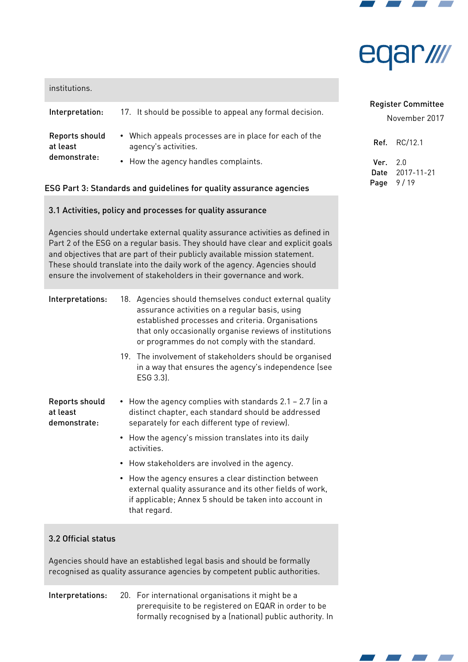

# ar *IIII*

| institutions.                              |                                                                                                                        |
|--------------------------------------------|------------------------------------------------------------------------------------------------------------------------|
| Interpretation:                            | 17. It should be possible to appeal any formal decision.                                                               |
| Reports should<br>at least<br>demonstrate: | • Which appeals processes are in place for each of the<br>agency's activities.<br>• How the agency handles complaints. |

## ESG Part 3: Standards and guidelines for quality assurance agencies

## 3.1 Activities, policy and processes for quality assurance

Agencies should undertake external quality assurance activities as defned in Part 2 of the ESG on a regular basis. They should have clear and explicit goals and objectives that are part of their publicly available mission statement. These should translate into the daily work of the agency. Agencies should ensure the involvement of stakeholders in their governance and work.

| 18. Agencies should themselves conduct external quality |
|---------------------------------------------------------|
| assurance activities on a regular basis, using          |
| established processes and criteria. Organisations       |
| that only occasionally organise reviews of institutions |
| or programmes do not comply with the standard.          |
|                                                         |

19. The involvement of stakeholders should be organised in a way that ensures the agency's independence (see ESG 3.3).

Reports should at least demonstrate:

- How the agency complies with standards 2.1 2.7 (in a distinct chapter, each standard should be addressed separately for each different type of review).
- How the agency's mission translates into its daily activities.
- How stakeholders are involved in the agency.
- How the agency ensures a clear distinction between external quality assurance and its other fields of work, if applicable; Annex 5 should be taken into account in that regard.

# 3.2 Official status

Agencies should have an established legal basis and should be formally recognised as quality assurance agencies by competent public authorities.

# Interpretations: 20. For international organisations it might be a prerequisite to be registered on EQAR in order to be formally recognised by a (national) public authority. In

# Register Committee

| Ref.   | RC/12.1    |
|--------|------------|
| Ver. I | 2.0        |
| Date   | 2017-11-21 |
| Page   | 9 / 19     |

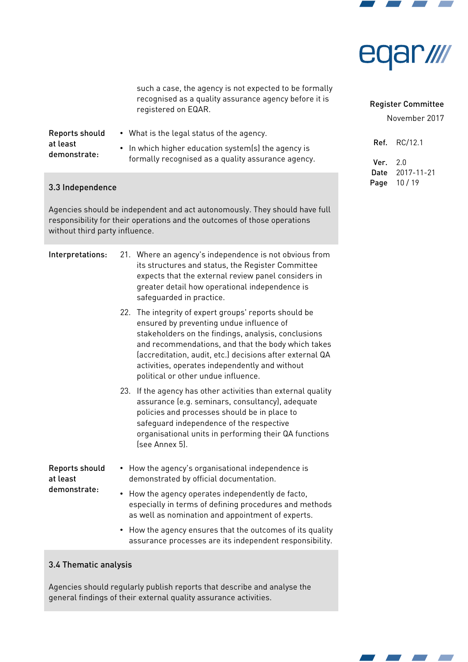

wing **AC** 

such a case, the agency is not expected to be formally recognised as a quality assurance agency before it is registered on EQAR.

| Reports should | • What is the legal status of the agency.           |
|----------------|-----------------------------------------------------|
| at least       | • In which higher education system(s) the agency is |
| demonstrate:   | formally recognised as a quality assurance agency.  |

# 3.3 Independence

Agencies should be independent and act autonomously. They should have full responsibility for their operations and the outcomes of those operations without third party infuence.

#### Interpretations: 21. Where an agency's independence is not obvious from

|                                            | its structures and status, the Register Committee<br>expects that the external review panel considers in<br>greater detail how operational independence is<br>safeguarded in practice.                                                                                                                                                                              |
|--------------------------------------------|---------------------------------------------------------------------------------------------------------------------------------------------------------------------------------------------------------------------------------------------------------------------------------------------------------------------------------------------------------------------|
|                                            | 22. The integrity of expert groups' reports should be<br>ensured by preventing undue influence of<br>stakeholders on the findings, analysis, conclusions<br>and recommendations, and that the body which takes<br>(accreditation, audit, etc.) decisions after external QA<br>activities, operates independently and without<br>political or other undue influence. |
|                                            | If the agency has other activities than external quality<br>23.<br>assurance (e.g. seminars, consultancy), adequate<br>policies and processes should be in place to<br>safeguard independence of the respective<br>organisational units in performing their QA functions<br>(see Annex 5).                                                                          |
| Reports should<br>at least<br>demonstrate: | • How the agency's organisational independence is<br>demonstrated by official documentation.                                                                                                                                                                                                                                                                        |
|                                            | How the agency operates independently de facto,<br>especially in terms of defining procedures and methods<br>as well as nomination and appointment of experts.                                                                                                                                                                                                      |
|                                            | • How the agency ensures that the outcomes of its quality                                                                                                                                                                                                                                                                                                           |

#### • How the agency ensures that the outcomes of its quality assurance processes are its independent responsibility.

# 3.4 Thematic analysis

Agencies should regularly publish reports that describe and analyse the general findings of their external quality assurance activities.

# November 2017

Register Committee

Ref. RC/12.1 Ver. 2.0 Date 2017-11-21 Page 10 / 19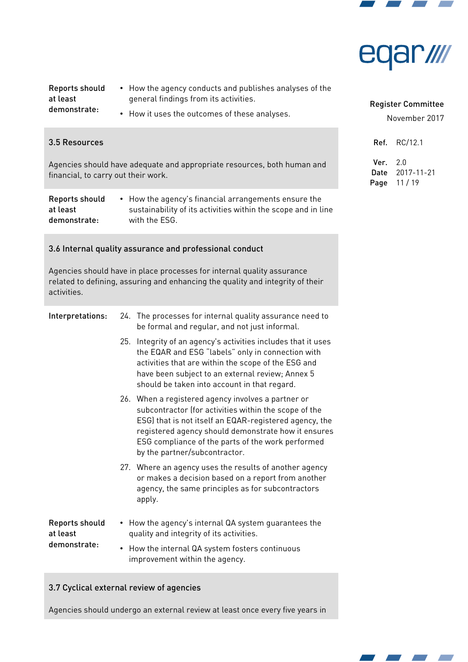



| Reports should | • How the agency conducts and publishes analyses of the |
|----------------|---------------------------------------------------------|
| at least       | general findings from its activities.                   |
| demonstrate:   | • How it uses the outcomes of these analyses.           |

## 3.5 Resources

Agencies should have adequate and appropriate resources, both human and financial, to carry out their work.

| Reports should | • How the agency's financial arrangements ensure the          |
|----------------|---------------------------------------------------------------|
| at least       | sustainability of its activities within the scope and in line |
| demonstrate:   | with the ESG.                                                 |

#### 3.6 Internal quality assurance and professional conduct

Agencies should have in place processes for internal quality assurance related to defining, assuring and enhancing the quality and integrity of their activities.

# Interpretations: 24. The processes for internal quality assurance need to be formal and regular, and not just informal.

- 25. Integrity of an agency's activities includes that it uses the EQAR and ESG "labels" only in connection with activities that are within the scope of the ESG and have been subject to an external review; Annex 5 should be taken into account in that regard.
- 26. When a registered agency involves a partner or subcontractor (for activities within the scope of the ESG) that is not itself an EQAR-registered agency, the registered agency should demonstrate how it ensures ESG compliance of the parts of the work performed by the partner/subcontractor.
- 27. Where an agency uses the results of another agency or makes a decision based on a report from another agency, the same principles as for subcontractors apply.

Reports should at least demonstrate: • How the agency's internal QA system guarantees the quality and integrity of its activities. • How the internal QA system fosters continuous

improvement within the agency.

#### 3.7 Cyclical external review of agencies

Agencies should undergo an external review at least once every five years in

# Register Committee

| Ref. . | RC/12.1    |
|--------|------------|
| Ver.   | 2.0        |
| Date   | 2017-11-21 |
| Page   | 11/19      |

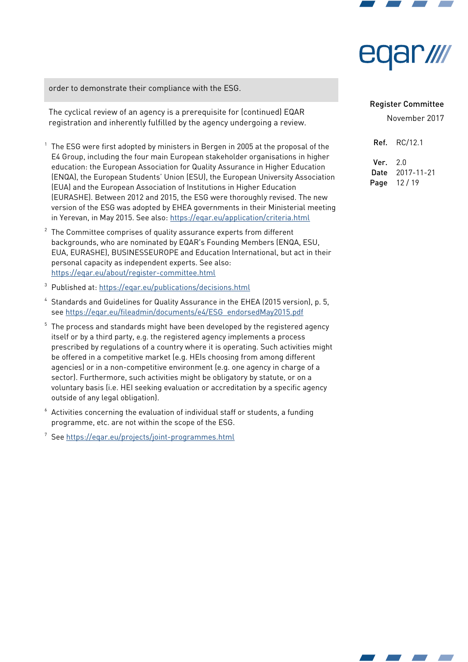

# ar*illi*

order to demonstrate their compliance with the ESG.

The cyclical review of an agency is a prerequisite for (continued) EQAR registration and inherently fulfilled by the agency undergoing a review.

- $^{\rm 1}$  The ESG were first adopted by ministers in Bergen in 2005 at the proposal of the E4 Group, including the four main European stakeholder organisations in higher education: the European Association for Quality Assurance in Higher Education (ENQA), the European Students' Union (ESU), the European University Association (EUA) and the European Association of Institutions in Higher Education (EURASHE). Between 2012 and 2015, the ESG were thoroughly revised. The new version of the ESG was adopted by EHEA governments in their Ministerial meeting in Yerevan, in May 2015. See also:<https://eqar.eu/application/criteria.html>
- 2 The Committee comprises of quality assurance experts from different backgrounds, who are nominated by EQAR's Founding Members (ENQA, ESU, EUA, EURASHE), eUSINESSEUROPE and Education International, but act in their personal capacity as independent experts. See also: <https://eqar.eu/about/register-committee.html>
- <span id="page-11-0"></span><sup>3</sup> Published at:<https://eqar.eu/publications/decisions.html>
- <sup>4</sup> Standards and Guidelines for Quality Assurance in the EHEA (2015 version), p. 5, see https://eqar.eu/fileadmin/documents/e4/ESG\_endorsedMay2015.pdf
- $5$  The process and standards might have been developed by the registered agency itself or by a third party, e.g. the registered agency implements a process prescribed by regulations of a country where it is operating. Such activities might be offered in a competitive market (e.g. HEIs choosing from among different agencies) or in a non-competitive environment (e.g. one agency in charge of a sector). Furthermore, such activities might be obligatory by statute, or on a voluntary basis (i.e. HEI seeking evaluation or accreditation by a specifc agency outside of any legal obligation).
- $6$  Activities concerning the evaluation of individual staff or students, a funding programme, etc. are not within the scope of the ESG.

<sup>7</sup> See<https://eqar.eu/projects/joint-programmes.html>

#### Register Committee

|                 | <b>Ref.</b> RC/12.1 |
|-----------------|---------------------|
| <b>Ver.</b> 2.0 |                     |
| Date            | 2017-11-21          |
| Page            | 12/19               |

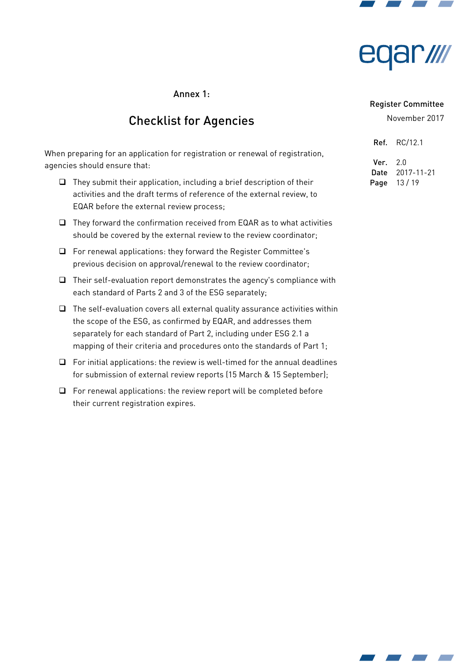



# Annex 1:

# Checklist for Agencies

When preparing for an application for registration or renewal of registration, agencies should ensure that:

- $\Box$  They submit their application, including a brief description of their activities and the draft terms of reference of the external review, to EQAR before the external review process;
- $\Box$  They forward the confirmation received from EQAR as to what activities should be covered by the external review to the review coordinator;
- $\Box$  For renewal applications: they forward the Register Committee's previous decision on approval/renewal to the review coordinator;
- $\Box$  Their self-evaluation report demonstrates the agency's compliance with each standard of Parts 2 and 3 of the ESG separately;
- $\Box$  The self-evaluation covers all external quality assurance activities within the scope of the ESG, as confirmed by EQAR, and addresses them separately for each standard of Part 2, including under ESG 2.1 a mapping of their criteria and procedures onto the standards of Part 1;
- $\Box$  For initial applications: the review is well-timed for the annual deadlines for submission of external review reports (15 March & 15 September);
- $\Box$  For renewal applications: the review report will be completed before their current registration expires.

#### Register Committee

| Ref. . | RC/12.1    |
|--------|------------|
| Ver.   | 2 በ        |
| Date   | 2017-11-21 |
| Page   | 13/19      |

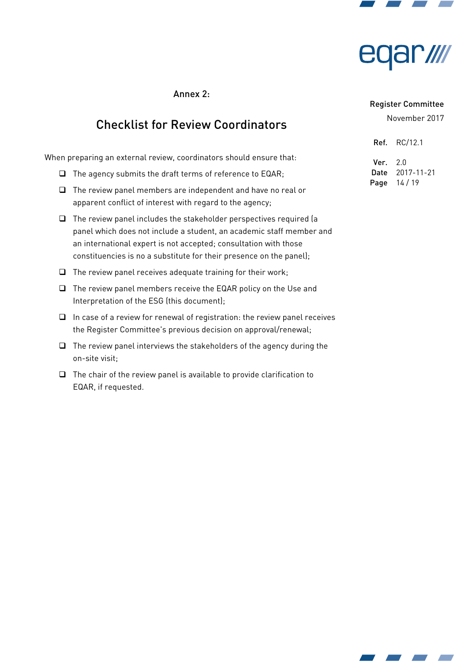



# Annex 2:

# Checklist for Review Coordinators

When preparing an external review, coordinators should ensure that:

- $\Box$  The agency submits the draft terms of reference to EQAR;
- $\Box$  The review panel members are independent and have no real or apparent confict of interest with regard to the agency;
- $\Box$  The review panel includes the stakeholder perspectives required (a panel which does not include a student, an academic staff member and an international expert is not accepted; consultation with those constituencies is no a substitute for their presence on the panel);
- $\Box$  The review panel receives adequate training for their work;
- $\Box$  The review panel members receive the EQAR policy on the Use and Interpretation of the ESG (this document);
- $\Box$  In case of a review for renewal of registration: the review panel receives the Register Committee's previous decision on approval/renewal;
- $\Box$  The review panel interviews the stakeholders of the agency during the on-site visit;
- $\Box$  The chair of the review panel is available to provide clarification to EQAR, if requested.

#### Register Committee

| Ref. | RC/12.1    |
|------|------------|
| Ver. | 2.0        |
| Date | 2017-11-21 |
| Page | 14/19      |

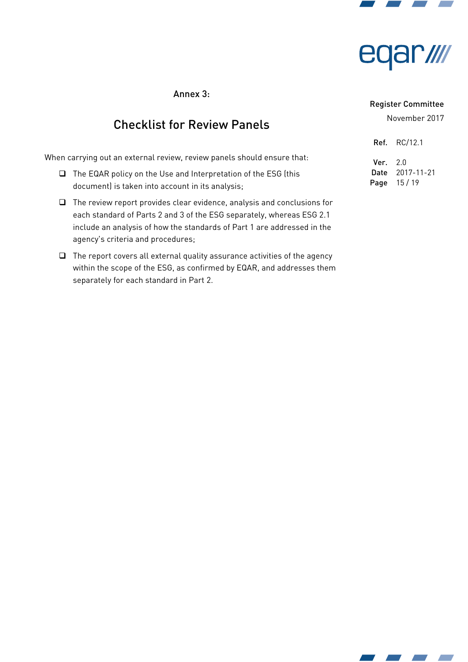



# Annex 3:

# Checklist for Review Panels

When carrying out an external review, review panels should ensure that:

- $\Box$  The EQAR policy on the Use and Interpretation of the ESG (this document) is taken into account in its analysis;
- The review report provides clear evidence, analysis and conclusions for each standard of Parts 2 and 3 of the ESG separately, whereas ESG 2.1 include an analysis of how the standards of Part 1 are addressed in the agency's criteria and procedures;
- $\Box$  The report covers all external quality assurance activities of the agency within the scope of the ESG, as confirmed by EQAR, and addresses them separately for each standard in Part 2.

#### Register Committee

| Ref. I   | RC/12.1    |
|----------|------------|
| Ver. 2.0 |            |
| Date     | 2017-11-21 |
| Page     | 15/19      |

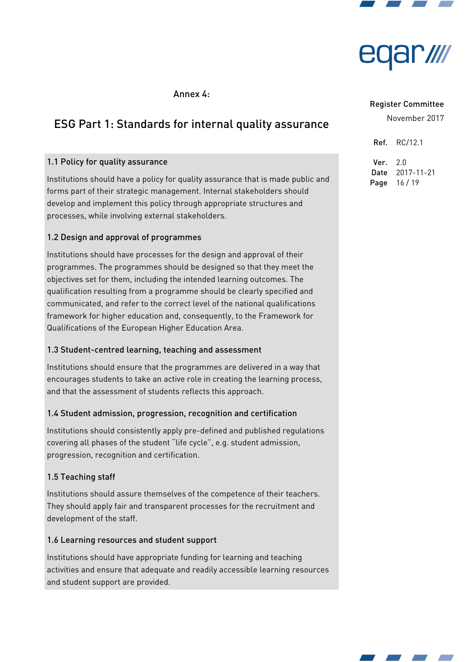



# <span id="page-15-0"></span>Annex 4:

# ESG Part 1: Standards for internal quality assurance

# 1.1 Policy for quality assurance

Institutions should have a policy for quality assurance that is made public and forms part of their strategic management. Internal stakeholders should develop and implement this policy through appropriate structures and processes, while involving external stakeholders.

# 1.2 Design and approval of programmes

Institutions should have processes for the design and approval of their programmes. The programmes should be designed so that they meet the objectives set for them, including the intended learning outcomes. The qualifcation resulting from a programme should be clearly specifed and communicated, and refer to the correct level of the national qualifcations framework for higher education and, consequently, to the Framework for Qualifcations of the European Higher Education Area.

## 1.3 Student-centred learning, teaching and assessment

Institutions should ensure that the programmes are delivered in a way that encourages students to take an active role in creating the learning process, and that the assessment of students reflects this approach.

## 1.4 Student admission, progression, recognition and certifcation

Institutions should consistently apply pre-defned and published regulations covering all phases of the student "life cycle", e.g. student admission, progression, recognition and certification.

# 1.5 Teaching staff

Institutions should assure themselves of the competence of their teachers. They should apply fair and transparent processes for the recruitment and development of the staff.

## 1.6 Learning resources and student support

Institutions should have appropriate funding for learning and teaching activities and ensure that adequate and readily accessible learning resources and student support are provided.

#### Register Committee

| Ref. | RC/12.1    |
|------|------------|
| Ver. | 2.0        |
| Date | 2017-11-21 |
| Page | 16/19      |

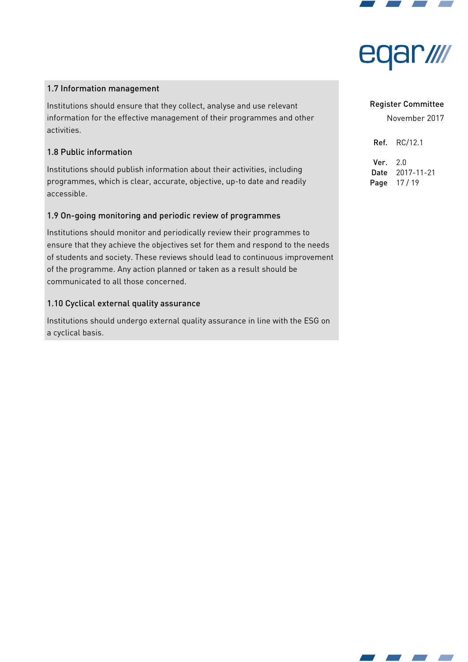

# ar/ll

# 1.7 Information management

Institutions should ensure that they collect, analyse and use relevant information for the effective management of their programmes and other activities.

# 1.8 Public information

Institutions should publish information about their activities, including programmes, which is clear, accurate, objective, up-to date and readily accessible.

# 1.9 On-going monitoring and periodic review of programmes

Institutions should monitor and periodically review their programmes to ensure that they achieve the objectives set for them and respond to the needs of students and society. These reviews should lead to continuous improvement of the programme. Any action planned or taken as a result should be communicated to all those concerned.

# 1.10 Cyclical external quality assurance

Institutions should undergo external quality assurance in line with the ESG on a cyclical basis.

#### Register Committee

November 2017

Ref. RC/12.1

Ver. 2.0 Date 2017-11-21 Page 17 / 19

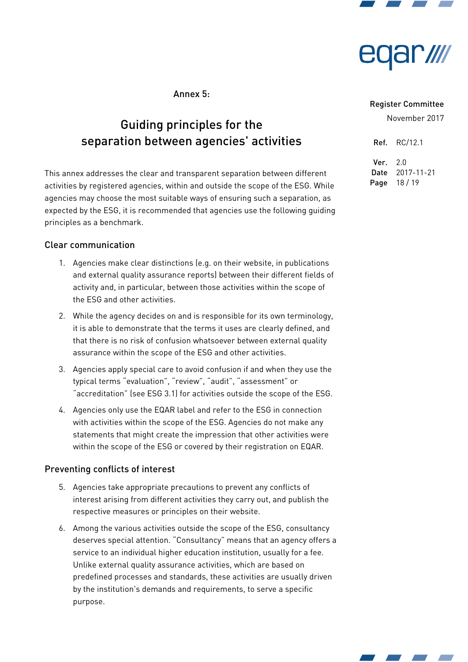



# Annex 5:

# Guiding principles for the separation between agencies' activities

This annex addresses the clear and transparent separation between different activities by registered agencies, within and outside the scope of the ESG. While agencies may choose the most suitable ways of ensuring such a separation, as expected by the ESG, it is recommended that agencies use the following guiding principles as a benchmark.

## Clear communication

- 1. Agencies make clear distinctions (e.g. on their website, in publications and external quality assurance reports) between their different fields of activity and, in particular, between those activities within the scope of the ESG and other activities.
- 2. While the agency decides on and is responsible for its own terminology, it is able to demonstrate that the terms it uses are clearly defned, and that there is no risk of confusion whatsoever between external quality assurance within the scope of the ESG and other activities.
- 3. Agencies apply special care to avoid confusion if and when they use the typical terms "evaluation", "review", "audit", "assessment" or "accreditation" (see ESG 3.1) for activities outside the scope of the ESG.
- 4. Agencies only use the EQAR label and refer to the ESG in connection with activities within the scope of the ESG. Agencies do not make any statements that might create the impression that other activities were within the scope of the ESG or covered by their registration on EQAR.

# Preventing conficts of interest

- 5. Agencies take appropriate precautions to prevent any conficts of interest arising from different activities they carry out, and publish the respective measures or principles on their website.
- 6. Among the various activities outside the scope of the ESG, consultancy deserves special attention. "Consultancy" means that an agency offers a service to an individual higher education institution, usually for a fee. Unlike external quality assurance activities, which are based on predefned processes and standards, these activities are usually driven by the institution's demands and requirements, to serve a specifc purpose.

#### Register Committee

November 2017

Ref. RC/12.1 Ver. 2.0 Date 2017-11-21 Page 18 / 19